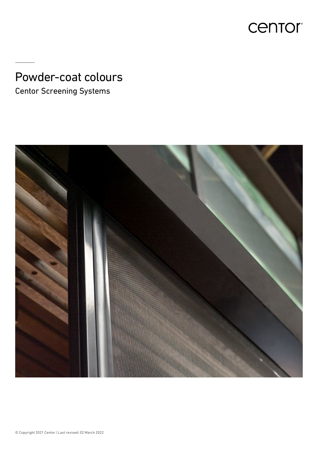

# Powder-coat colours

Centor Screening Systems

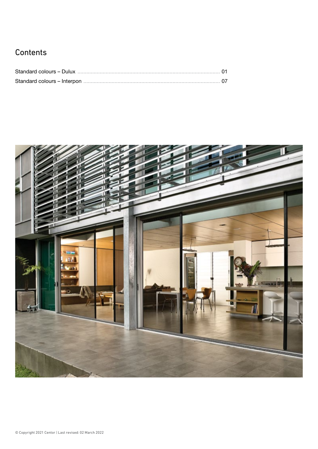#### **Contents**

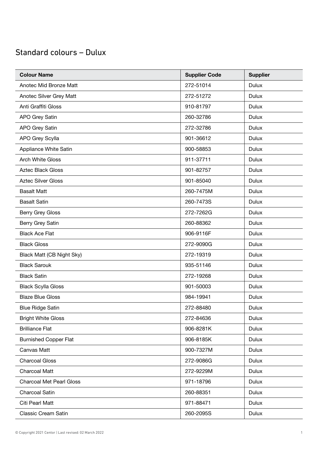| <b>Colour Name</b>              | <b>Supplier Code</b> | <b>Supplier</b> |
|---------------------------------|----------------------|-----------------|
| Anotec Mid Bronze Matt          | 272-51014            | <b>Dulux</b>    |
| Anotec Silver Grey Matt         | 272-51272            | <b>Dulux</b>    |
| Anti Graffiti Gloss             | 910-81797            | <b>Dulux</b>    |
| <b>APO Grey Satin</b>           | 260-32786            | <b>Dulux</b>    |
| <b>APO Grey Satin</b>           | 272-32786            | <b>Dulux</b>    |
| APO Grey Scylla                 | 901-36612            | <b>Dulux</b>    |
| Appliance White Satin           | 900-58853            | <b>Dulux</b>    |
| <b>Arch White Gloss</b>         | 911-37711            | <b>Dulux</b>    |
| <b>Aztec Black Gloss</b>        | 901-82757            | <b>Dulux</b>    |
| <b>Aztec Silver Gloss</b>       | 901-85040            | <b>Dulux</b>    |
| <b>Basalt Matt</b>              | 260-7475M            | <b>Dulux</b>    |
| <b>Basalt Satin</b>             | 260-7473S            | <b>Dulux</b>    |
| <b>Berry Grey Gloss</b>         | 272-7262G            | <b>Dulux</b>    |
| Berry Grey Satin                | 260-88362            | <b>Dulux</b>    |
| <b>Black Ace Flat</b>           | 906-9116F            | <b>Dulux</b>    |
| <b>Black Gloss</b>              | 272-9090G            | <b>Dulux</b>    |
| Black Matt (CB Night Sky)       | 272-19319            | <b>Dulux</b>    |
| <b>Black Sarouk</b>             | 935-51146            | <b>Dulux</b>    |
| <b>Black Satin</b>              | 272-19268            | <b>Dulux</b>    |
| <b>Black Scylla Gloss</b>       | 901-50003            | <b>Dulux</b>    |
| <b>Blaze Blue Gloss</b>         | 984-19941            | <b>Dulux</b>    |
| <b>Blue Ridge Satin</b>         | 272-88480            | Dulux           |
| <b>Bright White Gloss</b>       | 272-84636            | <b>Dulux</b>    |
| <b>Brilliance Flat</b>          | 906-8281K            | <b>Dulux</b>    |
| <b>Burnished Copper Flat</b>    | 906-8185K            | <b>Dulux</b>    |
| Canvas Matt                     | 900-7327M            | <b>Dulux</b>    |
| <b>Charcoal Gloss</b>           | 272-9086G            | <b>Dulux</b>    |
| <b>Charcoal Matt</b>            | 272-9229M            | <b>Dulux</b>    |
| <b>Charcoal Met Pearl Gloss</b> | 971-18796            | Dulux           |
| Charcoal Satin                  | 260-88351            | <b>Dulux</b>    |
| Citi Pearl Matt                 | 971-88471            | Dulux           |
| <b>Classic Cream Satin</b>      | 260-2095S            | Dulux           |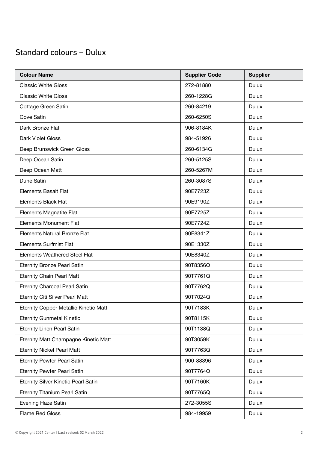| <b>Colour Name</b>                           | <b>Supplier Code</b> | <b>Supplier</b> |
|----------------------------------------------|----------------------|-----------------|
| <b>Classic White Gloss</b>                   | 272-81880            | Dulux           |
| <b>Classic White Gloss</b>                   | 260-1228G            | Dulux           |
| Cottage Green Satin                          | 260-84219            | <b>Dulux</b>    |
| Cove Satin                                   | 260-6250S            | Dulux           |
| Dark Bronze Flat                             | 906-8184K            | <b>Dulux</b>    |
| Dark Violet Gloss                            | 984-51926            | <b>Dulux</b>    |
| Deep Brunswick Green Gloss                   | 260-6134G            | Dulux           |
| Deep Ocean Satin                             | 260-5125S            | <b>Dulux</b>    |
| Deep Ocean Matt                              | 260-5267M            | <b>Dulux</b>    |
| Dune Satin                                   | 260-3087S            | <b>Dulux</b>    |
| <b>Elements Basalt Flat</b>                  | 90E7723Z             | <b>Dulux</b>    |
| <b>Elements Black Flat</b>                   | 90E9190Z             | <b>Dulux</b>    |
| <b>Elements Magnatite Flat</b>               | 90E7725Z             | Dulux           |
| <b>Elements Monument Flat</b>                | 90E7724Z             | <b>Dulux</b>    |
| Elements Natural Bronze Flat                 | 90E8341Z             | <b>Dulux</b>    |
| <b>Elements Surfmist Flat</b>                | 90E1330Z             | Dulux           |
| <b>Elements Weathered Steel Flat</b>         | 90E8340Z             | <b>Dulux</b>    |
| <b>Eternity Bronze Pearl Satin</b>           | 90T8356Q             | <b>Dulux</b>    |
| <b>Eternity Chain Pearl Matt</b>             | 90T7761Q             | <b>Dulux</b>    |
| <b>Eternity Charcoal Pearl Satin</b>         | 90T7762Q             | <b>Dulux</b>    |
| <b>Eternity Citi Silver Pearl Matt</b>       | 90T7024Q             | <b>Dulux</b>    |
| <b>Eternity Copper Metallic Kinetic Matt</b> | 90T7183K             | Dulux           |
| <b>Eternity Gunmetal Kinetic</b>             | 90T8115K             | <b>Dulux</b>    |
| <b>Eternity Linen Pearl Satin</b>            | 90T1138Q             | Dulux           |
| Eternity Matt Champagne Kinetic Matt         | 90T3059K             | <b>Dulux</b>    |
| <b>Eternity Nickel Pearl Matt</b>            | 90T7763Q             | Dulux           |
| <b>Eternity Pewter Pearl Satin</b>           | 900-88396            | <b>Dulux</b>    |
| <b>Eternity Pewter Pearl Satin</b>           | 90T7764Q             | <b>Dulux</b>    |
| Eternity Silver Kinetic Pearl Satin          | 90T7160K             | Dulux           |
| <b>Eternity Titanium Pearl Satin</b>         | 90T7765Q             | <b>Dulux</b>    |
| Evening Haze Satin                           | 272-3055S            | <b>Dulux</b>    |
| Flame Red Gloss                              | 984-19959            | <b>Dulux</b>    |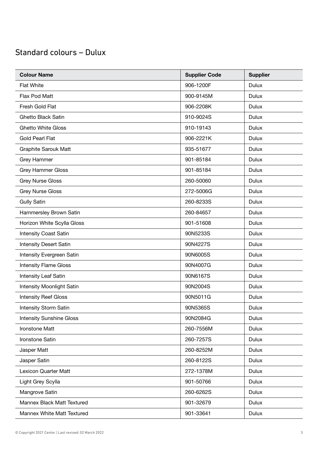| <b>Colour Name</b>              | <b>Supplier Code</b> | <b>Supplier</b> |
|---------------------------------|----------------------|-----------------|
| <b>Flat White</b>               | 906-1200F            | <b>Dulux</b>    |
| Flax Pod Matt                   | 900-9145M            | <b>Dulux</b>    |
| Fresh Gold Flat                 | 906-2208K            | <b>Dulux</b>    |
| <b>Ghetto Black Satin</b>       | 910-9024S            | Dulux           |
| <b>Ghetto White Gloss</b>       | 910-19143            | <b>Dulux</b>    |
| Gold Pearl Flat                 | 906-2221K            | <b>Dulux</b>    |
| <b>Graphite Sarouk Matt</b>     | 935-51677            | <b>Dulux</b>    |
| Grey Hammer                     | 901-85184            | Dulux           |
| <b>Grey Hammer Gloss</b>        | 901-85184            | <b>Dulux</b>    |
| <b>Grey Nurse Gloss</b>         | 260-50060            | <b>Dulux</b>    |
| <b>Grey Nurse Gloss</b>         | 272-5006G            | <b>Dulux</b>    |
| <b>Gully Satin</b>              | 260-8233S            | <b>Dulux</b>    |
| Hammersley Brown Satin          | 260-84657            | Dulux           |
| Horizon White Scylla Gloss      | 901-51608            | <b>Dulux</b>    |
| <b>Intensity Coast Satin</b>    | 90N5233S             | <b>Dulux</b>    |
| <b>Intensity Desert Satin</b>   | 90N4227S             | <b>Dulux</b>    |
| Intensity Evergreen Satin       | 90N6005S             | <b>Dulux</b>    |
| <b>Intensity Flame Gloss</b>    | 90N4007G             | <b>Dulux</b>    |
| Intensity Leaf Satin            | 90N6167S             | <b>Dulux</b>    |
| Intensity Moonlight Satin       | 90N2004S             | <b>Dulux</b>    |
| <b>Intensity Reef Gloss</b>     | 90N5011G             | Dulux           |
| Intensity Storm Satin           | 90N5365S             | Dulux           |
| <b>Intensity Sunshine Gloss</b> | 90N2084G             | Dulux           |
| Ironstone Matt                  | 260-7556M            | <b>Dulux</b>    |
| Ironstone Satin                 | 260-7257S            | <b>Dulux</b>    |
| Jasper Matt                     | 260-8252M            | <b>Dulux</b>    |
| Jasper Satin                    | 260-8122S            | <b>Dulux</b>    |
| Lexicon Quarter Matt            | 272-1378M            | <b>Dulux</b>    |
| Light Grey Scylla               | 901-50766            | <b>Dulux</b>    |
| Mangrove Satin                  | 260-6262S            | <b>Dulux</b>    |
| Mannex Black Matt Textured      | 901-32679            | <b>Dulux</b>    |
| Mannex White Matt Textured      | 901-33641            | <b>Dulux</b>    |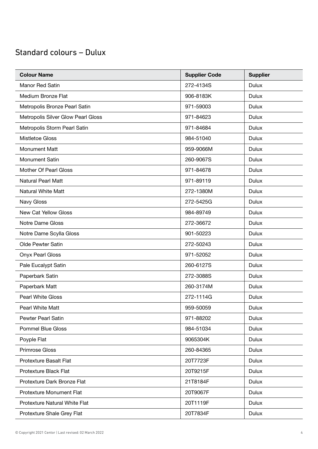| <b>Colour Name</b>                 | <b>Supplier Code</b> | <b>Supplier</b> |
|------------------------------------|----------------------|-----------------|
| Manor Red Satin                    | 272-4134S            | Dulux           |
| Medium Bronze Flat                 | 906-8183K            | <b>Dulux</b>    |
| Metropolis Bronze Pearl Satin      | 971-59003            | <b>Dulux</b>    |
| Metropolis Silver Glow Pearl Gloss | 971-84623            | <b>Dulux</b>    |
| Metropolis Storm Pearl Satin       | 971-84684            | <b>Dulux</b>    |
| Mistletoe Gloss                    | 984-51040            | <b>Dulux</b>    |
| <b>Monument Matt</b>               | 959-9066M            | <b>Dulux</b>    |
| <b>Monument Satin</b>              | 260-9067S            | <b>Dulux</b>    |
| Mother Of Pearl Gloss              | 971-84678            | <b>Dulux</b>    |
| <b>Natural Pearl Matt</b>          | 971-89119            | <b>Dulux</b>    |
| <b>Natural White Matt</b>          | 272-1380M            | Dulux           |
| Navy Gloss                         | 272-5425G            | <b>Dulux</b>    |
| New Cat Yellow Gloss               | 984-89749            | <b>Dulux</b>    |
| Notre Dame Gloss                   | 272-36672            | <b>Dulux</b>    |
| Notre Dame Scylla Gloss            | 901-50223            | <b>Dulux</b>    |
| Olde Pewter Satin                  | 272-50243            | <b>Dulux</b>    |
| <b>Onyx Pearl Gloss</b>            | 971-52052            | <b>Dulux</b>    |
| Pale Eucalypt Satin                | 260-6127S            | <b>Dulux</b>    |
| Paperbark Satin                    | 272-3088S            | <b>Dulux</b>    |
| Paperbark Matt                     | 260-3174M            | <b>Dulux</b>    |
| <b>Pearl White Gloss</b>           | 272-1114G            | <b>Dulux</b>    |
| Pearl White Matt                   | 959-50059            | Dulux           |
| <b>Pewter Pearl Satin</b>          | 971-88202            | <b>Dulux</b>    |
| <b>Pommel Blue Gloss</b>           | 984-51034            | Dulux           |
| Poyple Flat                        | 9065304K             | <b>Dulux</b>    |
| Primrose Gloss                     | 260-84365            | <b>Dulux</b>    |
| Protexture Basalt Flat             | 20T7723F             | <b>Dulux</b>    |
| Protexture Black Flat              | 20T9215F             | <b>Dulux</b>    |
| Protexture Dark Bronze Flat        | 21T8184F             | <b>Dulux</b>    |
| <b>Protexture Monument Flat</b>    | 20T9067F             | <b>Dulux</b>    |
| Protexture Natural White Flat      | 20T1119F             | <b>Dulux</b>    |
| Protexture Shale Grey Flat         | 20T7834F             | <b>Dulux</b>    |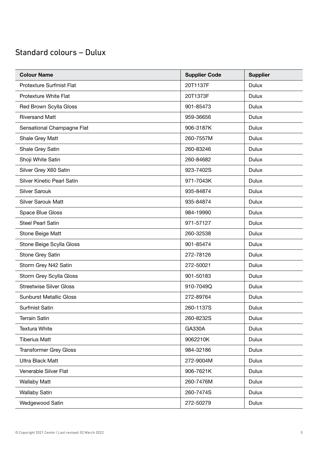| <b>Colour Name</b>                | <b>Supplier Code</b> | <b>Supplier</b> |
|-----------------------------------|----------------------|-----------------|
| Protexture Surfmist Flat          | 20T1137F             | Dulux           |
| Protexture White Flat             | 20T1373F             | <b>Dulux</b>    |
| Red Brown Scylla Gloss            | 901-85473            | <b>Dulux</b>    |
| <b>Riversand Matt</b>             | 959-36656            | <b>Dulux</b>    |
| Sensational Champagne Flat        | 906-3187K            | <b>Dulux</b>    |
| Shale Grey Matt                   | 260-7557M            | <b>Dulux</b>    |
| Shale Grey Satin                  | 260-83246            | Dulux           |
| Shoji White Satin                 | 260-84682            | <b>Dulux</b>    |
| Silver Grey X60 Satin             | 923-7402S            | <b>Dulux</b>    |
| <b>Silver Kinetic Pearl Satin</b> | 971-7043K            | <b>Dulux</b>    |
| <b>Silver Sarouk</b>              | 935-84874            | <b>Dulux</b>    |
| <b>Silver Sarouk Matt</b>         | 935-84874            | <b>Dulux</b>    |
| Space Blue Gloss                  | 984-19990            | <b>Dulux</b>    |
| <b>Steel Pearl Satin</b>          | 971-57127            | <b>Dulux</b>    |
| Stone Beige Matt                  | 260-32538            | <b>Dulux</b>    |
| Stone Beige Scylla Gloss          | 901-85474            | Dulux           |
| Stone Grey Satin                  | 272-78126            | <b>Dulux</b>    |
| Storm Grey N42 Satin              | 272-50021            | <b>Dulux</b>    |
| Storm Grey Scylla Gloss           | 901-50183            | Dulux           |
| <b>Streetwise Silver Gloss</b>    | 910-7049Q            | <b>Dulux</b>    |
| <b>Sunburst Metallic Gloss</b>    | 272-89764            | <b>Dulux</b>    |
| <b>Surfmist Satin</b>             | 260-1137S            | Dulux           |
| <b>Terrain Satin</b>              | 260-8232S            | Dulux           |
| <b>Textura White</b>              | <b>GA330A</b>        | <b>Dulux</b>    |
| <b>Tiberius Matt</b>              | 9062210K             | <b>Dulux</b>    |
| <b>Transformer Grey Gloss</b>     | 984-32186            | <b>Dulux</b>    |
| <b>Ultra Black Matt</b>           | 272-9004M            | <b>Dulux</b>    |
| Venerable Silver Flat             | 906-7621K            | <b>Dulux</b>    |
| <b>Wallaby Matt</b>               | 260-7476M            | <b>Dulux</b>    |
| <b>Wallaby Satin</b>              | 260-7474S            | <b>Dulux</b>    |
| Wedgewood Satin                   | 272-50279            | <b>Dulux</b>    |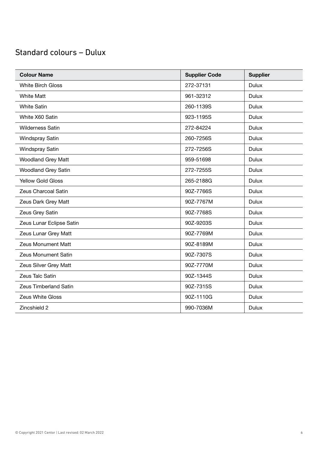| <b>Colour Name</b>         | <b>Supplier Code</b> | <b>Supplier</b> |
|----------------------------|----------------------|-----------------|
| <b>White Birch Gloss</b>   | 272-37131            | <b>Dulux</b>    |
| <b>White Matt</b>          | 961-32312            | <b>Dulux</b>    |
| <b>White Satin</b>         | 260-1139S            | <b>Dulux</b>    |
| White X60 Satin            | 923-1195S            | <b>Dulux</b>    |
| <b>Wilderness Satin</b>    | 272-84224            | <b>Dulux</b>    |
| Windspray Satin            | 260-7256S            | <b>Dulux</b>    |
| Windspray Satin            | 272-7256S            | <b>Dulux</b>    |
| Woodland Grey Matt         | 959-51698            | <b>Dulux</b>    |
| <b>Woodland Grey Satin</b> | 272-7255S            | <b>Dulux</b>    |
| <b>Yellow Gold Gloss</b>   | 265-2188G            | <b>Dulux</b>    |
| Zeus Charcoal Satin        | 90Z-7766S            | <b>Dulux</b>    |
| Zeus Dark Grey Matt        | 90Z-7767M            | <b>Dulux</b>    |
| Zeus Grey Satin            | 90Z-7768S            | <b>Dulux</b>    |
| Zeus Lunar Eclipse Satin   | 90Z-9203S            | <b>Dulux</b>    |
| Zeus Lunar Grey Matt       | 90Z-7769M            | <b>Dulux</b>    |
| <b>Zeus Monument Matt</b>  | 90Z-8189M            | <b>Dulux</b>    |
| Zeus Monument Satin        | 90Z-7307S            | <b>Dulux</b>    |
| Zeus Silver Grey Matt      | 90Z-7770M            | <b>Dulux</b>    |
| Zeus Talc Satin            | 90Z-1344S            | <b>Dulux</b>    |
| Zeus Timberland Satin      | 90Z-7315S            | <b>Dulux</b>    |
| Zeus White Gloss           | 90Z-1110G            | <b>Dulux</b>    |
| Zincshield 2               | 990-7036M            | <b>Dulux</b>    |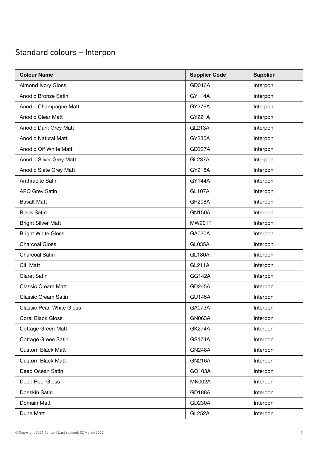| <b>Colour Name</b>               | <b>Supplier Code</b> | <b>Supplier</b> |
|----------------------------------|----------------------|-----------------|
| <b>Almond Ivory Gloss</b>        | <b>GD016A</b>        | Interpon        |
| Anodic Bronze Satin              | <b>GY114A</b>        | Interpon        |
| Anodic Champagne Matt            | <b>GY276A</b>        | Interpon        |
| Anodic Clear Matt                | GY221A               | Interpon        |
| Anodic Dark Grey Matt            | <b>GL213A</b>        | Interpon        |
| <b>Anodic Natural Matt</b>       | <b>GY235A</b>        | Interpon        |
| Anodic Off White Matt            | <b>GD227A</b>        | Interpon        |
| Anodic Silver Grey Matt          | <b>GL237A</b>        | Interpon        |
| Anodic Slate Grey Matt           | GY218A               | Interpon        |
| Anthracite Satin                 | <b>GY144A</b>        | Interpon        |
| <b>APO Grey Satin</b>            | <b>GL107A</b>        | Interpon        |
| <b>Basalt Matt</b>               | <b>GP208A</b>        | Interpon        |
| <b>Black Satin</b>               | <b>GN150A</b>        | Interpon        |
| <b>Bright Silver Matt</b>        | MW201T               | Interpon        |
| <b>Bright White Gloss</b>        | GA030A               | Interpon        |
| <b>Charcoal Gloss</b>            | <b>GL035A</b>        | Interpon        |
| <b>Charcoal Satin</b>            | <b>GL180A</b>        | Interpon        |
| Citi Matt                        | <b>GL211A</b>        | Interpon        |
| <b>Claret Satin</b>              | <b>GG142A</b>        | Interpon        |
| <b>Classic Cream Matt</b>        | <b>GD245A</b>        | Interpon        |
| <b>Classic Cream Satin</b>       | <b>GU145A</b>        | Interpon        |
| <b>Classic Pearl White Gloss</b> | GA073A               | Interpon        |
| <b>Coral Black Gloss</b>         | <b>GN063A</b>        | Interpon        |
| Cottage Green Matt               | <b>GK274A</b>        | Interpon        |
| Cottage Green Satin              | <b>GS174A</b>        | Interpon        |
| <b>Custom Black Matt</b>         | <b>GN248A</b>        | Interpon        |
| <b>Custom Black Matt</b>         | <b>GN216A</b>        | Interpon        |
| Deep Ocean Satin                 | GQ103A               | Interpon        |
| Deep Pool Gloss                  | <b>MK002A</b>        | Interpon        |
| Doeskin Satin                    | <b>GD188A</b>        | Interpon        |
| Domain Matt                      | GD230A               | Interpon        |
| Dune Matt                        | <b>GL252A</b>        | Interpon        |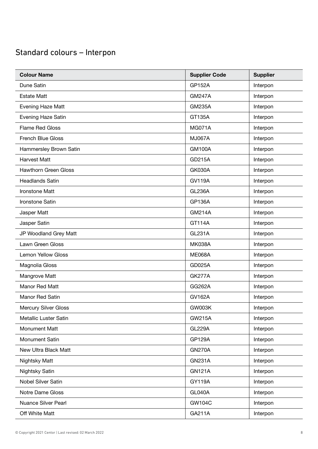| <b>Colour Name</b>          | <b>Supplier Code</b> | <b>Supplier</b> |
|-----------------------------|----------------------|-----------------|
| Dune Satin                  | <b>GP152A</b>        | Interpon        |
| <b>Estate Matt</b>          | <b>GM247A</b>        | Interpon        |
| Evening Haze Matt           | <b>GM235A</b>        | Interpon        |
| Evening Haze Satin          | GT135A               | Interpon        |
| <b>Flame Red Gloss</b>      | <b>MG071A</b>        | Interpon        |
| French Blue Gloss           | <b>MJ067A</b>        | Interpon        |
| Hammersley Brown Satin      | <b>GM100A</b>        | Interpon        |
| <b>Harvest Matt</b>         | GD215A               | Interpon        |
| <b>Hawthorn Green Gloss</b> | <b>GK030A</b>        | Interpon        |
| <b>Headlands Satin</b>      | <b>GV119A</b>        | Interpon        |
| Ironstone Matt              | <b>GL236A</b>        | Interpon        |
| Ironstone Satin             | <b>GP136A</b>        | Interpon        |
| Jasper Matt                 | <b>GM214A</b>        | Interpon        |
| Jasper Satin                | GT114A               | Interpon        |
| JP Woodland Grey Matt       | <b>GL231A</b>        | Interpon        |
| Lawn Green Gloss            | <b>MK038A</b>        | Interpon        |
| Lemon Yellow Gloss          | <b>ME068A</b>        | Interpon        |
| Magnolia Gloss              | GD025A               | Interpon        |
| Mangrove Matt               | <b>GK277A</b>        | Interpon        |
| Manor Red Matt              | GG262A               | Interpon        |
| Manor Red Satin             | <b>GV162A</b>        | Interpon        |
| <b>Mercury Silver Gloss</b> | GW003K               | Interpon        |
| Metallic Luster Satin       | <b>GW215A</b>        | Interpon        |
| Monument Matt               | <b>GL229A</b>        | Interpon        |
| Monument Satin              | <b>GP129A</b>        | Interpon        |
| New Ultra Black Matt        | <b>GN270A</b>        | Interpon        |
| Nightsky Matt               | <b>GN231A</b>        | Interpon        |
| Nightsky Satin              | <b>GN121A</b>        | Interpon        |
| Nobel Silver Satin          | GY119A               | Interpon        |
| Notre Dame Gloss            | <b>GL040A</b>        | Interpon        |
| Nuance Silver Pearl         | <b>GW104C</b>        | Interpon        |
| Off White Matt              | GA211A               | Interpon        |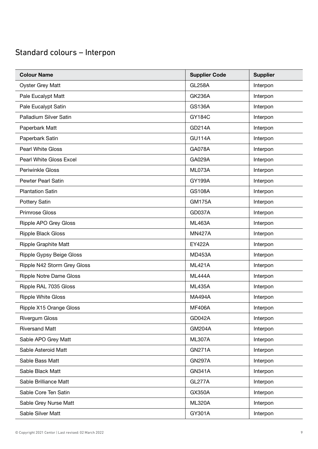| <b>Colour Name</b>             | <b>Supplier Code</b> | <b>Supplier</b> |
|--------------------------------|----------------------|-----------------|
| <b>Oyster Grey Matt</b>        | <b>GL258A</b>        | Interpon        |
| Pale Eucalypt Matt             | <b>GK236A</b>        | Interpon        |
| Pale Eucalypt Satin            | <b>GS136A</b>        | Interpon        |
| Palladium Silver Satin         | GY184C               | Interpon        |
| Paperbark Matt                 | GD214A               | Interpon        |
| Paperbark Satin                | <b>GU114A</b>        | Interpon        |
| Pearl White Gloss              | <b>GA078A</b>        | Interpon        |
| Pearl White Gloss Excel        | GA029A               | Interpon        |
| Periwinkle Gloss               | ML073A               | Interpon        |
| <b>Pewter Pearl Satin</b>      | <b>GY199A</b>        | Interpon        |
| <b>Plantation Satin</b>        | <b>GS108A</b>        | Interpon        |
| Pottery Satin                  | <b>GM175A</b>        | Interpon        |
| Primrose Gloss                 | <b>GD037A</b>        | Interpon        |
| Ripple APO Grey Gloss          | <b>ML463A</b>        | Interpon        |
| <b>Ripple Black Gloss</b>      | <b>MN427A</b>        | Interpon        |
| <b>Ripple Graphite Matt</b>    | <b>EY422A</b>        | Interpon        |
| Ripple Gypsy Beige Gloss       | <b>MD453A</b>        | Interpon        |
| Ripple N42 Storm Grey Gloss    | <b>ML421A</b>        | Interpon        |
| <b>Ripple Notre Dame Gloss</b> | <b>ML444A</b>        | Interpon        |
| Ripple RAL 7035 Gloss          | <b>ML435A</b>        | Interpon        |
| <b>Ripple White Gloss</b>      | <b>MA494A</b>        | Interpon        |
| Ripple X15 Orange Gloss        | <b>MF406A</b>        | Interpon        |
| <b>Rivergum Gloss</b>          | <b>GD042A</b>        | Interpon        |
| <b>Riversand Matt</b>          | <b>GM204A</b>        | Interpon        |
| Sable APO Grey Matt            | <b>ML307A</b>        | Interpon        |
| Sable Asteroid Matt            | <b>GN271A</b>        | Interpon        |
| Sable Bass Matt                | <b>GN297A</b>        | Interpon        |
| Sable Black Matt               | <b>GN341A</b>        | Interpon        |
| Sable Brilliance Matt          | GL277A               | Interpon        |
| Sable Core Ten Satin           | GX350A               | Interpon        |
| Sable Grey Nurse Matt          | <b>ML320A</b>        | Interpon        |
| Sable Silver Matt              | GY301A               | Interpon        |